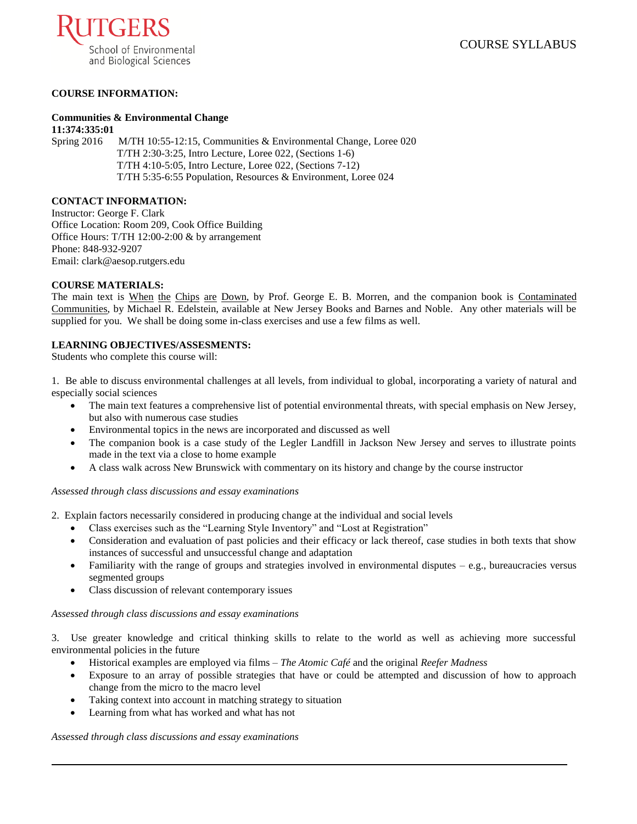

# **COURSE INFORMATION:**

# **Communities & Environmental Change**

**11:374:335:01** Spring 2016 M/TH 10:55-12:15, Communities & Environmental Change, Loree 020 T/TH 2:30-3:25, Intro Lecture, Loree 022, (Sections 1-6) T/TH 4:10-5:05, Intro Lecture, Loree 022, (Sections 7-12) T/TH 5:35-6:55 Population, Resources & Environment, Loree 024

### **CONTACT INFORMATION:**

Instructor: George F. Clark Office Location: Room 209, Cook Office Building Office Hours: T/TH 12:00-2:00 & by arrangement Phone: 848-932-9207 Email: clark@aesop.rutgers.edu

### **COURSE MATERIALS:**

The main text is When the Chips are Down, by Prof. George E. B. Morren, and the companion book is Contaminated Communities, by Michael R. Edelstein, available at New Jersey Books and Barnes and Noble. Any other materials will be supplied for you. We shall be doing some in-class exercises and use a few films as well.

### **LEARNING OBJECTIVES/ASSESMENTS:**

Students who complete this course will:

1. Be able to discuss environmental challenges at all levels, from individual to global, incorporating a variety of natural and especially social sciences

- The main text features a comprehensive list of potential environmental threats, with special emphasis on New Jersey, but also with numerous case studies
- Environmental topics in the news are incorporated and discussed as well
- The companion book is a case study of the Legler Landfill in Jackson New Jersey and serves to illustrate points made in the text via a close to home example
- A class walk across New Brunswick with commentary on its history and change by the course instructor

#### *Assessed through class discussions and essay examinations*

2. Explain factors necessarily considered in producing change at the individual and social levels

- Class exercises such as the "Learning Style Inventory" and "Lost at Registration"
- Consideration and evaluation of past policies and their efficacy or lack thereof, case studies in both texts that show instances of successful and unsuccessful change and adaptation
- Familiarity with the range of groups and strategies involved in environmental disputes  $-e.g.,$  bureaucracies versus segmented groups
- Class discussion of relevant contemporary issues

#### *Assessed through class discussions and essay examinations*

3. Use greater knowledge and critical thinking skills to relate to the world as well as achieving more successful environmental policies in the future

- Historical examples are employed via films *The Atomic Café* and the original *Reefer Madness*
- Exposure to an array of possible strategies that have or could be attempted and discussion of how to approach change from the micro to the macro level
- Taking context into account in matching strategy to situation
- Learning from what has worked and what has not

*Assessed through class discussions and essay examinations*